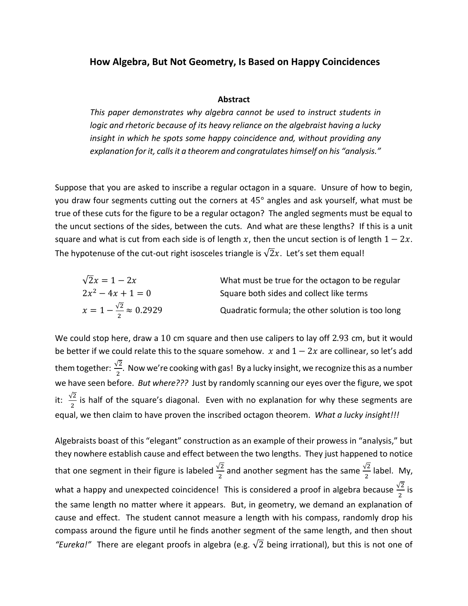## **How Algebra, But Not Geometry, Is Based on Happy Coincidences**

#### **Abstract**

*This paper demonstrates why algebra cannot be used to instruct students in logic and rhetoric because of its heavy reliance on the algebraist having a lucky insight in which he spots some happy coincidence and, without providing any explanation for it, calls it a theorem and congratulates himself on his "analysis."*

Suppose that you are asked to inscribe a regular octagon in a square. Unsure of how to begin, you draw four segments cutting out the corners at 45° angles and ask yourself, what must be true of these cuts for the figure to be a regular octagon? The angled segments must be equal to the uncut sections of the sides, between the cuts. And what are these lengths? If this is a unit square and what is cut from each side is of length x, then the uncut section is of length  $1 - 2x$ . The hypotenuse of the cut-out right isosceles triangle is  $\sqrt{2}x$ . Let's set them equal!

| $\sqrt{2}x=1-2x$                            | What must be true for the octagon to be regular   |
|---------------------------------------------|---------------------------------------------------|
| $2x^2 - 4x + 1 = 0$                         | Square both sides and collect like terms          |
| $x = 1 - \frac{\sqrt{2}}{2} \approx 0.2929$ | Quadratic formula; the other solution is too long |

We could stop here, draw a 10 cm square and then use calipers to lay off 2.93 cm, but it would be better if we could relate this to the square somehow.  $x$  and  $1 - 2x$  are collinear, so let's add them together:  $\frac{\sqrt{2}}{2}$ . Now we're cooking with gas! By a lucky insight, we recognize this as a number we have seen before. *But where???* Just by randomly scanning our eyes over the figure, we spot it:  $\frac{\sqrt{2}}{2}$  is half of the square's diagonal. Even with no explanation for why these segments are equal, we then claim to have proven the inscribed octagon theorem. *What a lucky insight!!!*

Algebraists boast of this "elegant" construction as an example of their prowess in "analysis," but they nowhere establish cause and effect between the two lengths. They just happened to notice that one segment in their figure is labeled  $\frac{\sqrt{2}}{2}$  and another segment has the same  $\frac{\sqrt{2}}{2}$  $\frac{2}{2}$  label. My, what a happy and unexpected coincidence! This is considered a proof in algebra because  $\frac{\sqrt{2}}{2}$  is the same length no matter where it appears. But, in geometry, we demand an explanation of cause and effect. The student cannot measure a length with his compass, randomly drop his compass around the figure until he finds another segment of the same length, and then shout *"Eureka!"* There are elegant proofs in algebra (e.g.  $\sqrt{2}$  being irrational), but this is not one of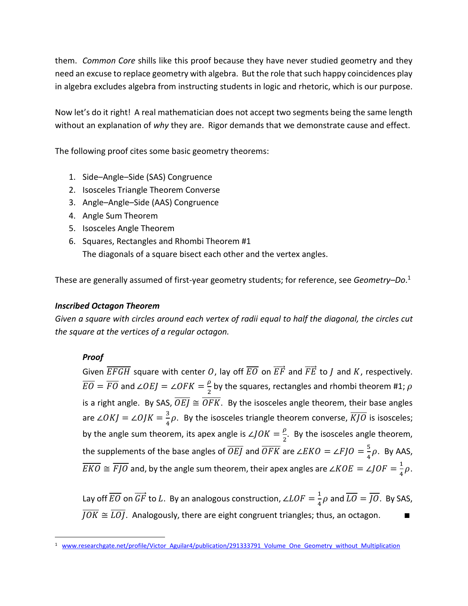them. *Common Core* shills like this proof because they have never studied geometry and they need an excuse to replace geometry with algebra. But the role that such happy coincidences play in algebra excludes algebra from instructing students in logic and rhetoric, which is our purpose.

Now let's do it right! A real mathematician does not accept two segments being the same length without an explanation of *why* they are. Rigor demands that we demonstrate cause and effect.

The following proof cites some basic geometry theorems:

- 1. Side–Angle–Side (SAS) Congruence
- 2. Isosceles Triangle Theorem Converse
- 3. Angle–Angle–Side (AAS) Congruence
- 4. Angle Sum Theorem
- 5. Isosceles Angle Theorem
- 6. Squares, Rectangles and Rhombi Theorem #1 The diagonals of a square bisect each other and the vertex angles.

These are generally assumed of first-year geometry students; for reference, see *Geometry–Do*. 1

# *Inscribed Octagon Theorem*

*Given a square with circles around each vertex of radii equal to half the diagonal, the circles cut the square at the vertices of a regular octagon.*

# *Proof*

Given  $\overline{EFGH}$  square with center O, lay off  $\overline{EO}$  on  $\overrightarrow{EF}$  and  $\overrightarrow{FE}$  to *I* and *K*, respectively.  $\overline{EO} = \overline{FO}$  and ∠ $OEJ = \angle OFK = \frac{\rho}{2}$  $\frac{\rho}{2}$  by the squares, rectangles and rhombi theorem #1;  $\rho$ is a right angle. By SAS,  $\overline{OEJ} \cong \overline{OFK}$ . By the isosceles angle theorem, their base angles are ∠OKJ = ∠OJK =  $\frac{3}{4}$  $\frac{3}{4}\rho$ . By the isosceles triangle theorem converse,  $KJO$  is isosceles; by the angle sum theorem, its apex angle is  $\angle JOK = \frac{\rho}{2}$  $\frac{p}{2}$ . By the isosceles angle theorem, the supplements of the base angles of  $\overline{OEJ}$  and  $\overline{OFK}$  are ∠ $EKO = \angle FJO = \frac{5}{4}$  $\frac{3}{4}\rho$ . By AAS,  $\overline{EKO} \cong \overline{FJO}$  and, by the angle sum theorem, their apex angles are ∠ $KOE = \angle JOF = \frac{1}{4}$  $\frac{1}{4}\rho$ .

Lay off  $\overline{EO}$  on  $\overline{GF}$  to  $L$ . By an analogous construction, ∠ $LOF = \frac{1}{4}$  $\frac{1}{4}$  $\rho$  and  $LO = JO$ . By SAS,  $\overline{JOK} \cong \overline{LOJ}$ . Analogously, there are eight congruent triangles; thus, an octagon.

 $\overline{a}$ 1 www.researchgate.net/profile/Victor\_Aguilar4/publication/291333791\_Volume\_One\_Geometry\_without\_Multiplication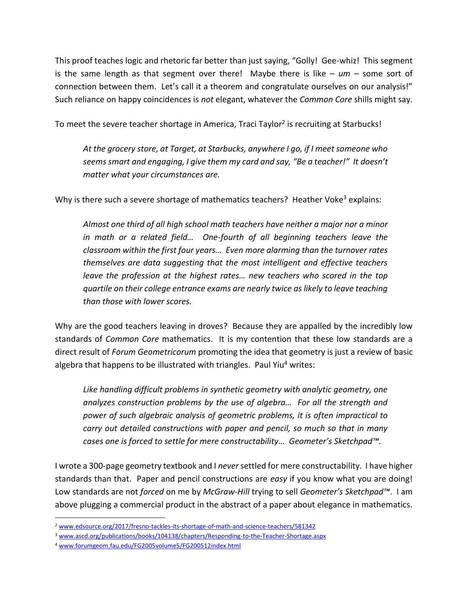This proof teaches logic and rhetoric far better than just saying, "Golly! Gee-whiz! This segment is the same length as that segment over there! Maybe there is like – *um* – some sort of connection between them. Let's call it a theorem and congratulate ourselves on our analysis!" Such reliance on happy coincidences is *not* elegant, whatever the *Common Core* shills might say.

To meet the severe teacher shortage in America, Traci Taylor<sup>2</sup> is recruiting at Starbucks!

*At the grocery store, at Target, at Starbucks, anywhere I go, if I meet someone who seems smart and engaging, I give them my card and say, "Be a teacher!" It doesn't matter what your circumstances are.*

Why is there such a severe shortage of mathematics teachers? Heather Voke<sup>3</sup> explains:

*Almost one third of all high school math teachers have neither a major nor a minor in math or a related field… One-fourth of all beginning teachers leave the classroom within the first four years… Even more alarming than the turnover rates themselves are data suggesting that the most intelligent and effective teachers leave the profession at the highest rates… new teachers who scored in the top quartile on their college entrance exams are nearly twice as likely to leave teaching than those with lower scores.*

Why are the good teachers leaving in droves? Because they are appalled by the incredibly low standards of *Common Core* mathematics. It is my contention that these low standards are a direct result of *Forum Geometricorum* promoting the idea that geometry is just a review of basic algebra that happens to be illustrated with triangles. Paul Yiu<sup>4</sup> writes:

*Like handling difficult problems in synthetic geometry with analytic geometry, one analyzes construction problems by the use of algebra… For all the strength and power of such algebraic analysis of geometric problems, it is often impractical to carry out detailed constructions with paper and pencil, so much so that in many cases one is forced to settle for mere constructability… Geometer's Sketchpad™.*

I wrote a 300-page geometry textbook and I *never*settled for mere constructability. I have higher standards than that. Paper and pencil constructions are *easy* if you know what you are doing! Low standards are not *forced* on me by *McGraw-Hill* trying to sell *Geometer's Sketchpad™*. I am above plugging a commercial product in the abstract of a paper about elegance in mathematics.

 $\overline{\phantom{a}}$ 

<sup>2</sup> [www.edsource.org/2017/fresno-tackles-its-shortage-of-math-and-science-teachers/581342](http://www.edsource.org/2017/fresno-tackles-its-shortage-of-math-and-science-teachers/581342)

<sup>3</sup> [www.ascd.org/publications/books/104138/chapters/Responding-to-the-Teacher-Shortage.aspx](http://www.ascd.org/publications/books/104138/chapters/Responding-to-the-Teacher-Shortage.aspx)

<sup>4</sup> [www.forumgeom.fau.edu/FG2005volume5/FG200512index.html](http://www.forumgeom.fau.edu/FG2005volume5/FG200512index.html)